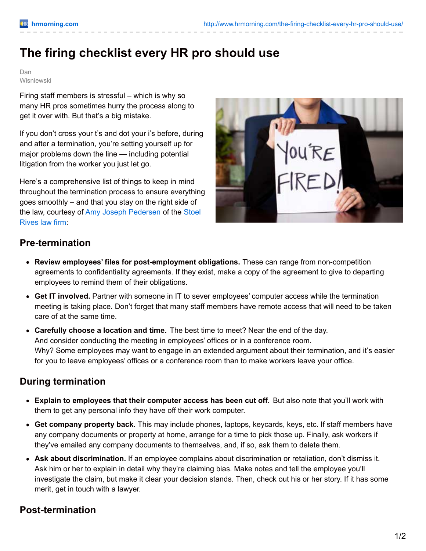# **The firing checklist every HR pro should use**

Dan Wisniewski

Firing staff members is stressful – which is why so many HR pros sometimes hurry the process along to get it over with. But that's a big mistake.

If you don't cross your t's and dot your i's before, during and after a termination, you're setting yourself up for major problems down the line — including potential litigation from the worker you just let go.

Here's a comprehensive list of things to keep in mind throughout the termination process to ensure everything goes smoothly – and that you stay on the right side of the law, courtesy of Amy Joseph [Pedersen](http://www.stoelrivesworldofemployment.com/) of the Stoel Rives law firm:



### **Pre-termination**

- **Review employees' files for post-employment obligations.** These can range from non-competition agreements to confidentiality agreements. If they exist, make a copy of the agreement to give to departing employees to remind them of their obligations.
- **Get IT involved.** Partner with someone in IT to sever employees' computer access while the termination meeting is taking place. Don't forget that many staff members have remote access that will need to be taken care of at the same time.
- **Carefully choose a location and time.** The best time to meet? Near the end of the day. And consider conducting the meeting in employees' offices or in a conference room. Why? Some employees may want to engage in an extended argument about their termination, and it's easier for you to leave employees' offices or a conference room than to make workers leave your office.

# **During termination**

- **Explain to employees that their computer access has been cut off.** But also note that you'll work with them to get any personal info they have off their work computer.
- **Get company property back.** This may include phones, laptops, keycards, keys, etc. If staff members have any company documents or property at home, arrange for a time to pick those up. Finally, ask workers if they've emailed any company documents to themselves, and, if so, ask them to delete them.
- **Ask about discrimination.** If an employee complains about discrimination or retaliation, don't dismiss it. Ask him or her to explain in detail why they're claiming bias. Make notes and tell the employee you'll investigate the claim, but make it clear your decision stands. Then, check out his or her story. If it has some merit, get in touch with a lawyer.

# **Post-termination**